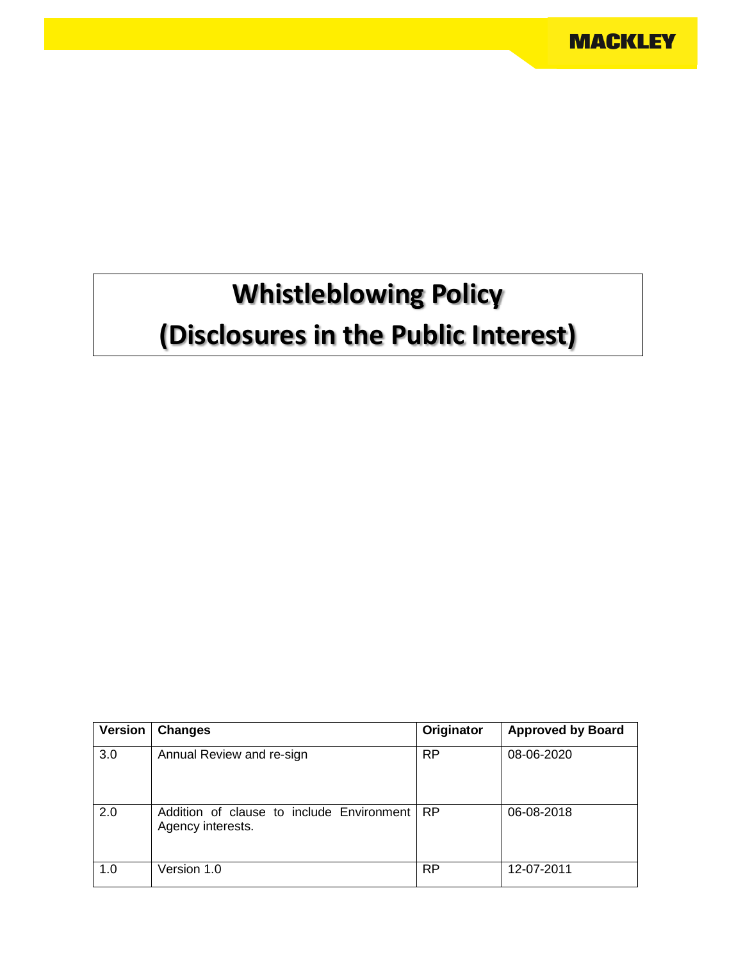# **Whistleblowing Policy (Disclosures in the Public Interest)**

| Version | <b>Changes</b>                                                 | Originator | <b>Approved by Board</b> |
|---------|----------------------------------------------------------------|------------|--------------------------|
| 3.0     | Annual Review and re-sign                                      | <b>RP</b>  | 08-06-2020               |
| 2.0     | Addition of clause to include Environment<br>Agency interests. | <b>RP</b>  | 06-08-2018               |
| 1.0     | Version 1.0                                                    | <b>RP</b>  | 12-07-2011               |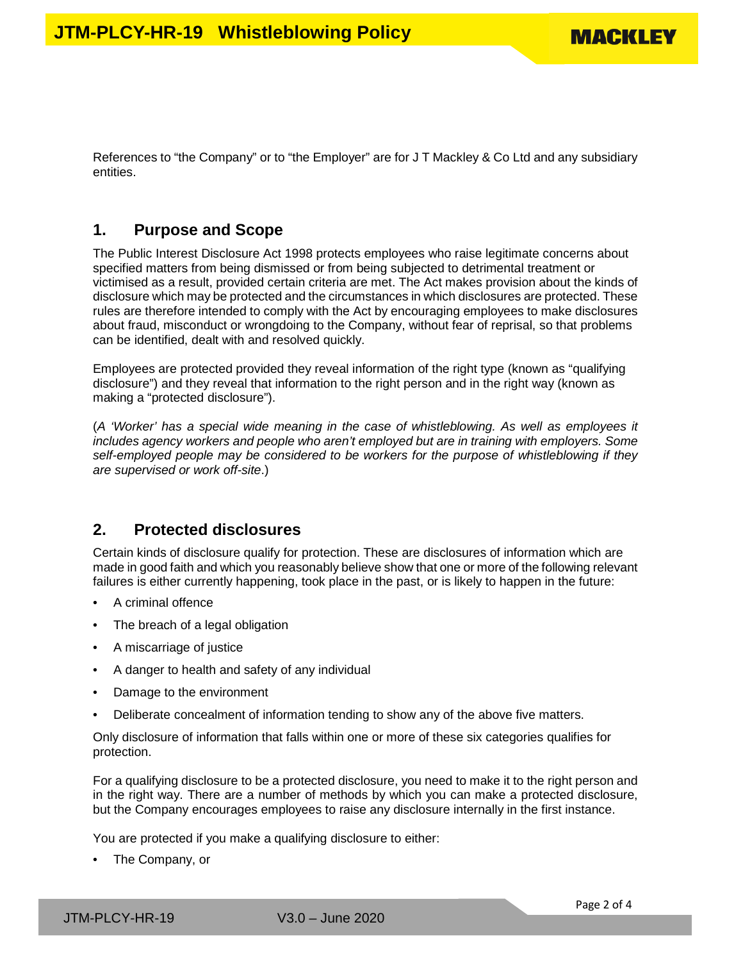References to "the Company" or to "the Employer" are for J T Mackley & Co Ltd and any subsidiary entities.

#### **1. Purpose and Scope**

The Public Interest Disclosure Act 1998 protects employees who raise legitimate concerns about specified matters from being dismissed or from being subjected to detrimental treatment or victimised as a result, provided certain criteria are met. The Act makes provision about the kinds of disclosure which may be protected and the circumstances in which disclosures are protected. These rules are therefore intended to comply with the Act by encouraging employees to make disclosures about fraud, misconduct or wrongdoing to the Company, without fear of reprisal, so that problems can be identified, dealt with and resolved quickly.

Employees are protected provided they reveal information of the right type (known as "qualifying disclosure") and they reveal that information to the right person and in the right way (known as making a "protected disclosure").

(*A 'Worker' has a special wide meaning in the case of whistleblowing. As well as employees it includes agency workers and people who aren't employed but are in training with employers. Some self-employed people may be considered to be workers for the purpose of whistleblowing if they are supervised or work off-site*.)

#### **2. Protected disclosures**

Certain kinds of disclosure qualify for protection. These are disclosures of information which are made in good faith and which you reasonably believe show that one or more of the following relevant failures is either currently happening, took place in the past, or is likely to happen in the future:

- A criminal offence
- The breach of a legal obligation
- A miscarriage of justice
- A danger to health and safety of any individual
- Damage to the environment
- Deliberate concealment of information tending to show any of the above five matters.

Only disclosure of information that falls within one or more of these six categories qualifies for protection.

For a qualifying disclosure to be a protected disclosure, you need to make it to the right person and in the right way. There are a number of methods by which you can make a protected disclosure, but the Company encourages employees to raise any disclosure internally in the first instance.

You are protected if you make a qualifying disclosure to either:

• The Company, or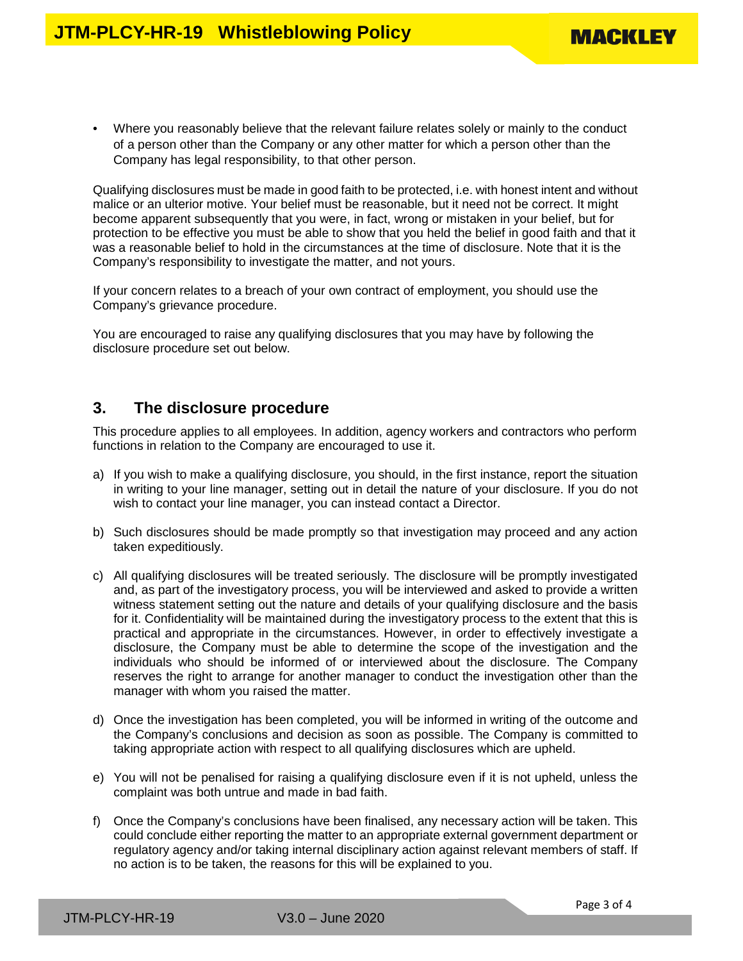• Where you reasonably believe that the relevant failure relates solely or mainly to the conduct of a person other than the Company or any other matter for which a person other than the Company has legal responsibility, to that other person.

Qualifying disclosures must be made in good faith to be protected, i.e. with honest intent and without malice or an ulterior motive. Your belief must be reasonable, but it need not be correct. It might become apparent subsequently that you were, in fact, wrong or mistaken in your belief, but for protection to be effective you must be able to show that you held the belief in good faith and that it was a reasonable belief to hold in the circumstances at the time of disclosure. Note that it is the Company's responsibility to investigate the matter, and not yours.

If your concern relates to a breach of your own contract of employment, you should use the Company's grievance procedure.

You are encouraged to raise any qualifying disclosures that you may have by following the disclosure procedure set out below.

#### **3. The disclosure procedure**

This procedure applies to all employees. In addition, agency workers and contractors who perform functions in relation to the Company are encouraged to use it.

- a) If you wish to make a qualifying disclosure, you should, in the first instance, report the situation in writing to your line manager, setting out in detail the nature of your disclosure. If you do not wish to contact your line manager, you can instead contact a Director.
- b) Such disclosures should be made promptly so that investigation may proceed and any action taken expeditiously.
- c) All qualifying disclosures will be treated seriously. The disclosure will be promptly investigated and, as part of the investigatory process, you will be interviewed and asked to provide a written witness statement setting out the nature and details of your qualifying disclosure and the basis for it. Confidentiality will be maintained during the investigatory process to the extent that this is practical and appropriate in the circumstances. However, in order to effectively investigate a disclosure, the Company must be able to determine the scope of the investigation and the individuals who should be informed of or interviewed about the disclosure. The Company reserves the right to arrange for another manager to conduct the investigation other than the manager with whom you raised the matter.
- d) Once the investigation has been completed, you will be informed in writing of the outcome and the Company's conclusions and decision as soon as possible. The Company is committed to taking appropriate action with respect to all qualifying disclosures which are upheld.
- e) You will not be penalised for raising a qualifying disclosure even if it is not upheld, unless the complaint was both untrue and made in bad faith.
- f) Once the Company's conclusions have been finalised, any necessary action will be taken. This could conclude either reporting the matter to an appropriate external government department or regulatory agency and/or taking internal disciplinary action against relevant members of staff. If no action is to be taken, the reasons for this will be explained to you.